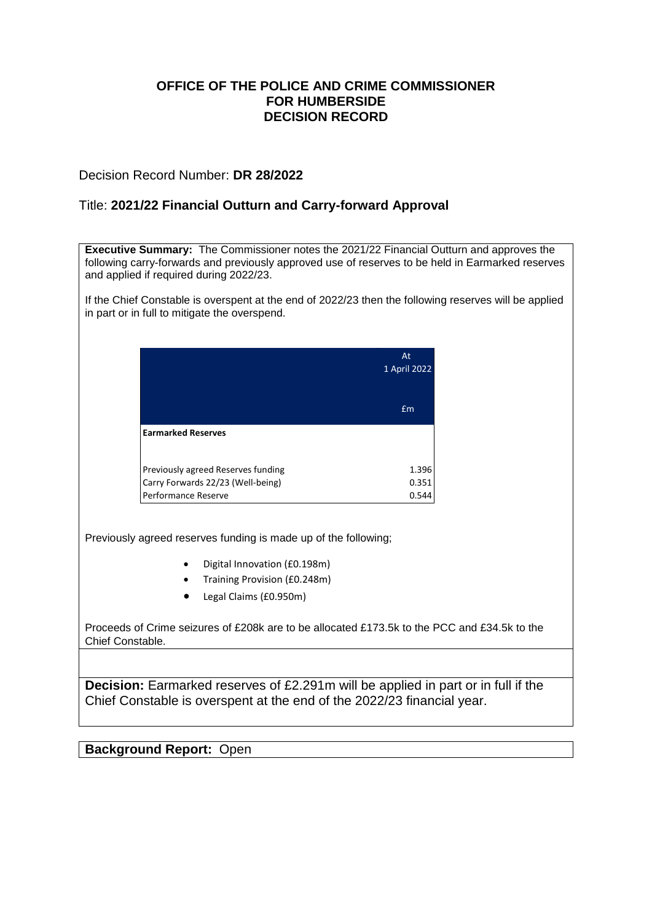### **OFFICE OF THE POLICE AND CRIME COMMISSIONER FOR HUMBERSIDE DECISION RECORD**

### Decision Record Number: **DR 28/2022**

### Title: **2021/22 Financial Outturn and Carry-forward Approval**

**Executive Summary:** The Commissioner notes the 2021/22 Financial Outturn and approves the following carry-forwards and previously approved use of reserves to be held in Earmarked reserves and applied if required during 2022/23. If the Chief Constable is overspent at the end of 2022/23 then the following reserves will be applied in part or in full to mitigate the overspend. At 1 April 2022 £m **Earmarked Reserves** Previously agreed Reserves funding Carry Forwards 22/23 (Well-being) Performance Reserve 1.396 0.351 0.544 Previously agreed reserves funding is made up of the following; Digital Innovation (£0.198m) Training Provision (£0.248m) Legal Claims (£0.950m) Proceeds of Crime seizures of £208k are to be allocated £173.5k to the PCC and £34.5k to the Chief Constable.

**Decision:** Earmarked reserves of £2.291m will be applied in part or in full if the Chief Constable is overspent at the end of the 2022/23 financial year.

**Background Report:** Open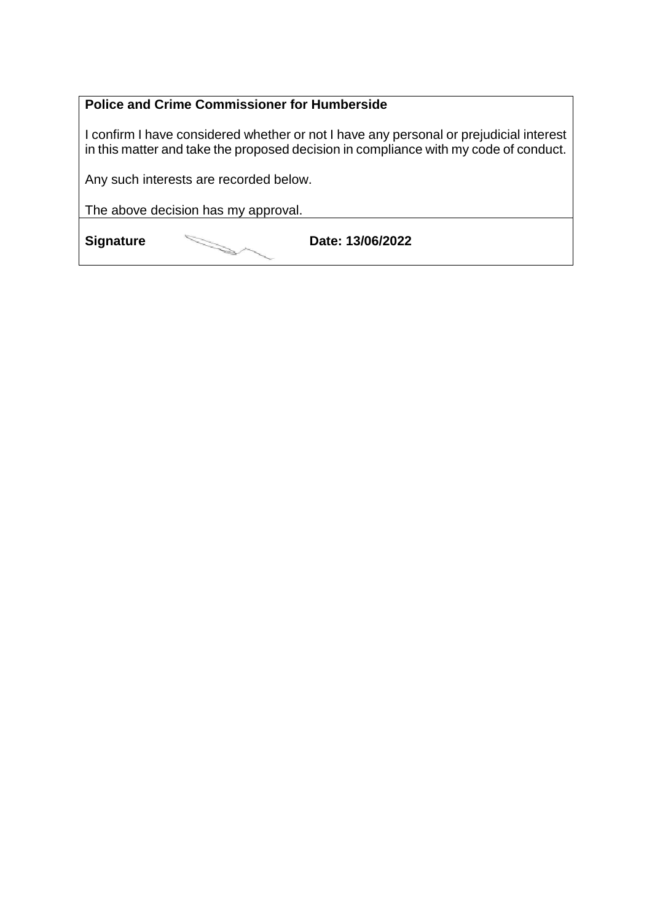### **Police and Crime Commissioner for Humberside**

I confirm I have considered whether or not I have any personal or prejudicial interest in this matter and take the proposed decision in compliance with my code of conduct.

Any such interests are recorded below.

The above decision has my approval.

**Signature Date: 13/06/2022**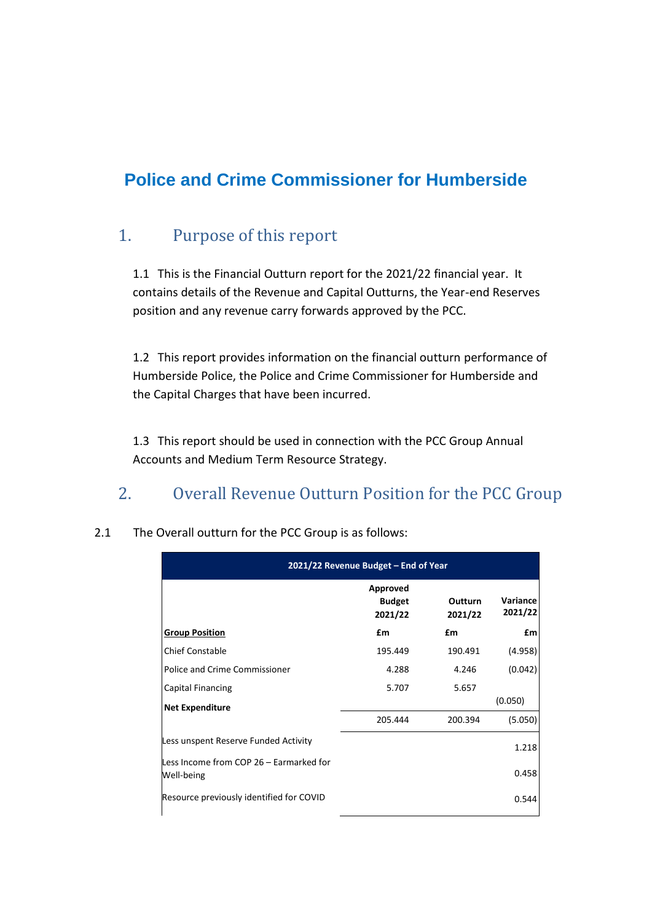# **Police and Crime Commissioner for Humberside**

## 1. Purpose of this report

1.1 This is the Financial Outturn report for the 2021/22 financial year. It contains details of the Revenue and Capital Outturns, the Year-end Reserves position and any revenue carry forwards approved by the PCC.

1.2 This report provides information on the financial outturn performance of Humberside Police, the Police and Crime Commissioner for Humberside and the Capital Charges that have been incurred.

1.3 This report should be used in connection with the PCC Group Annual Accounts and Medium Term Resource Strategy.

## 2. Overall Revenue Outturn Position for the PCC Group

| 2021/22 Revenue Budget - End of Year                  |                                      |                           |                     |
|-------------------------------------------------------|--------------------------------------|---------------------------|---------------------|
|                                                       | Approved<br><b>Budget</b><br>2021/22 | <b>Outturn</b><br>2021/22 | Variance<br>2021/22 |
| <b>Group Position</b>                                 | £m                                   | £m                        | £m                  |
| <b>Chief Constable</b>                                | 195.449                              | 190.491                   | (4.958)             |
| Police and Crime Commissioner                         | 4.288                                | 4.246                     | (0.042)             |
| <b>Capital Financing</b>                              | 5.707                                | 5.657                     |                     |
| <b>Net Expenditure</b>                                |                                      |                           | (0.050)             |
|                                                       | 205.444                              | 200.394                   | (5.050)             |
| Less unspent Reserve Funded Activity                  |                                      |                           | 1.218               |
| Less Income from COP 26 – Earmarked for<br>Well-being |                                      |                           | 0.458               |
| Resource previously identified for COVID              |                                      |                           | 0.544               |

2.1 The Overall outturn for the PCC Group is as follows: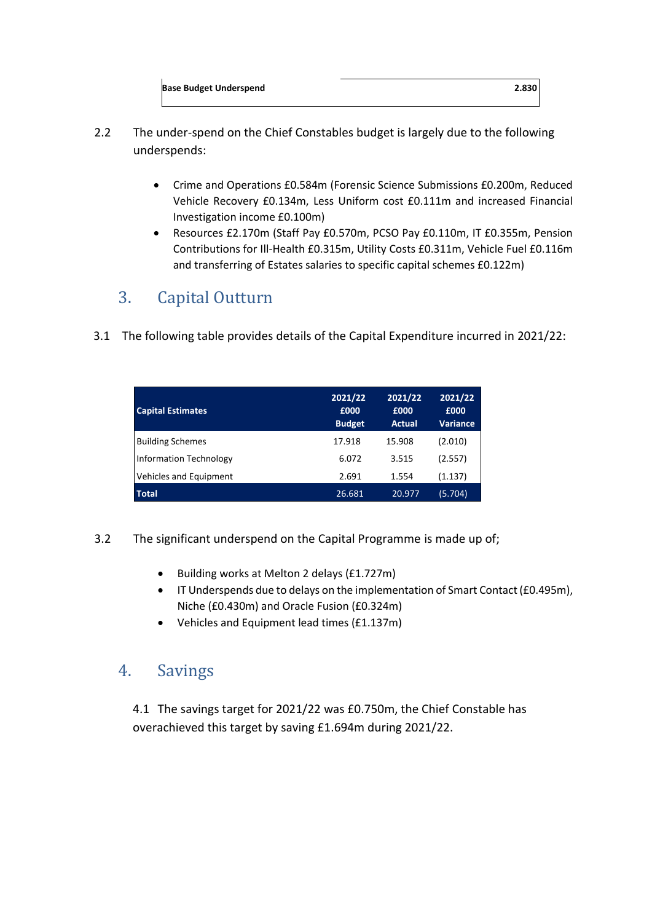- 2.2 The under-spend on the Chief Constables budget is largely due to the following underspends:
	- Crime and Operations £0.584m (Forensic Science Submissions £0.200m, Reduced Vehicle Recovery £0.134m, Less Uniform cost £0.111m and increased Financial Investigation income £0.100m)
	- Resources £2.170m (Staff Pay £0.570m, PCSO Pay £0.110m, IT £0.355m, Pension Contributions for Ill-Health £0.315m, Utility Costs £0.311m, Vehicle Fuel £0.116m and transferring of Estates salaries to specific capital schemes £0.122m)

# 3. Capital Outturn

3.1 The following table provides details of the Capital Expenditure incurred in 2021/22:

| <b>Capital Estimates</b>      | 2021/22<br>£000<br><b>Budget</b> | 2021/22<br>£000<br><b>Actual</b> | 2021/22<br>£000<br><b>Variance</b> |
|-------------------------------|----------------------------------|----------------------------------|------------------------------------|
| <b>Building Schemes</b>       | 17.918                           | 15.908                           | (2.010)                            |
| <b>Information Technology</b> | 6.072                            | 3.515                            | (2.557)                            |
| Vehicles and Equipment        | 2.691                            | 1.554                            | (1.137)                            |
| <b>Total</b>                  | 26.681                           | 20.977                           | (5.704)                            |

- 3.2 The significant underspend on the Capital Programme is made up of;
	- Building works at Melton 2 delays (£1.727m)
	- IT Underspends due to delays on the implementation of Smart Contact (£0.495m), Niche (£0.430m) and Oracle Fusion (£0.324m)
	- Vehicles and Equipment lead times (£1.137m)

## 4. Savings

4.1 The savings target for 2021/22 was £0.750m, the Chief Constable has overachieved this target by saving £1.694m during 2021/22.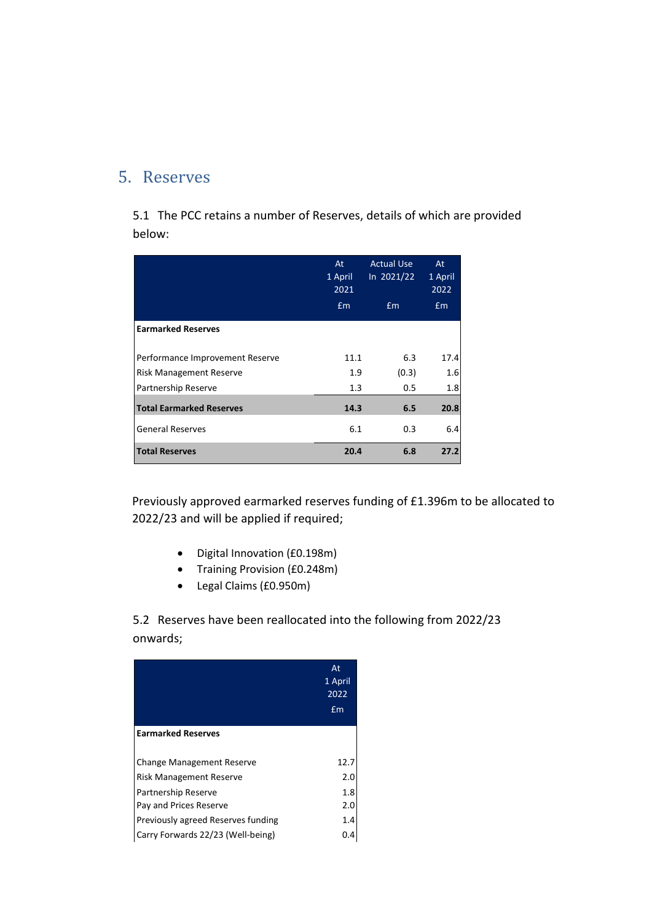## 5. Reserves

5.1 The PCC retains a number of Reserves, details of which are provided below:

|                                 | At<br>1 April<br>2021<br>Em | <b>Actual Use</b><br>In 2021/22<br>Em | At<br>1 April<br>2022<br>Em |
|---------------------------------|-----------------------------|---------------------------------------|-----------------------------|
| <b>Earmarked Reserves</b>       |                             |                                       |                             |
| Performance Improvement Reserve | 11.1                        | 6.3                                   | 17.4                        |
| Risk Management Reserve         | 1.9                         | (0.3)                                 | 1.6                         |
| Partnership Reserve             | 1.3                         | 0.5                                   | 1.8                         |
| <b>Total Earmarked Reserves</b> | 14.3                        | 6.5                                   | 20.8                        |
| <b>General Reserves</b>         | 6.1                         | 0.3                                   | 6.4                         |
| <b>Total Reserves</b>           | 20.4                        | 6.8                                   | 27.2                        |

Previously approved earmarked reserves funding of £1.396m to be allocated to 2022/23 and will be applied if required;

- Digital Innovation (£0.198m)
- Training Provision (£0.248m)
- Legal Claims (£0.950m)

5.2 Reserves have been reallocated into the following from 2022/23 onwards;

|                                                                         | At<br>1 April<br>2022<br>£m |
|-------------------------------------------------------------------------|-----------------------------|
| <b>Earmarked Reserves</b>                                               |                             |
| <b>Change Management Reserve</b><br>Risk Management Reserve             | 12.7<br>2.0                 |
| Partnership Reserve<br>Pay and Prices Reserve                           | 1.8<br>2.0                  |
| Previously agreed Reserves funding<br>Carry Forwards 22/23 (Well-being) | 1.4                         |